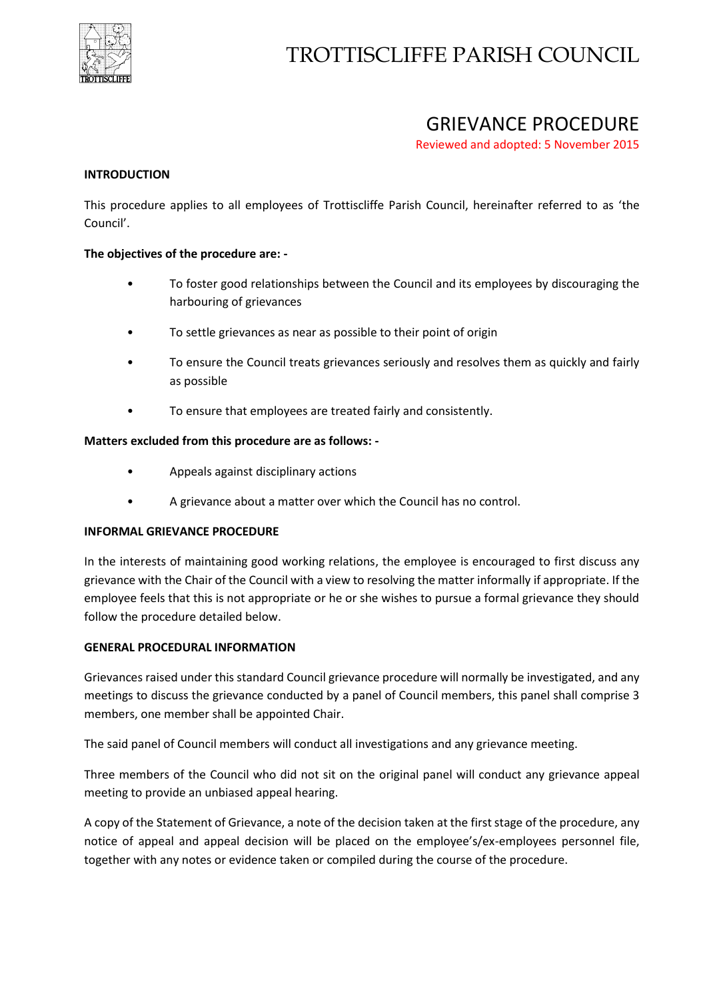

# TROTTISCLIFFE PARISH COUNCIL

# GRIEVANCE PROCEDURE

Reviewed and adopted: 5 November 2015

# **INTRODUCTION**

This procedure applies to all employees of Trottiscliffe Parish Council, hereinafter referred to as 'the Council'.

# **The objectives of the procedure are: -**

- To foster good relationships between the Council and its employees by discouraging the harbouring of grievances
- To settle grievances as near as possible to their point of origin
- To ensure the Council treats grievances seriously and resolves them as quickly and fairly as possible
- To ensure that employees are treated fairly and consistently.

# **Matters excluded from this procedure are as follows: -**

- Appeals against disciplinary actions
- A grievance about a matter over which the Council has no control.

# **INFORMAL GRIEVANCE PROCEDURE**

In the interests of maintaining good working relations, the employee is encouraged to first discuss any grievance with the Chair of the Council with a view to resolving the matter informally if appropriate. If the employee feels that this is not appropriate or he or she wishes to pursue a formal grievance they should follow the procedure detailed below.

#### **GENERAL PROCEDURAL INFORMATION**

Grievances raised under this standard Council grievance procedure will normally be investigated, and any meetings to discuss the grievance conducted by a panel of Council members, this panel shall comprise 3 members, one member shall be appointed Chair.

The said panel of Council members will conduct all investigations and any grievance meeting.

Three members of the Council who did not sit on the original panel will conduct any grievance appeal meeting to provide an unbiased appeal hearing.

A copy of the Statement of Grievance, a note of the decision taken at the first stage of the procedure, any notice of appeal and appeal decision will be placed on the employee's/ex-employees personnel file, together with any notes or evidence taken or compiled during the course of the procedure.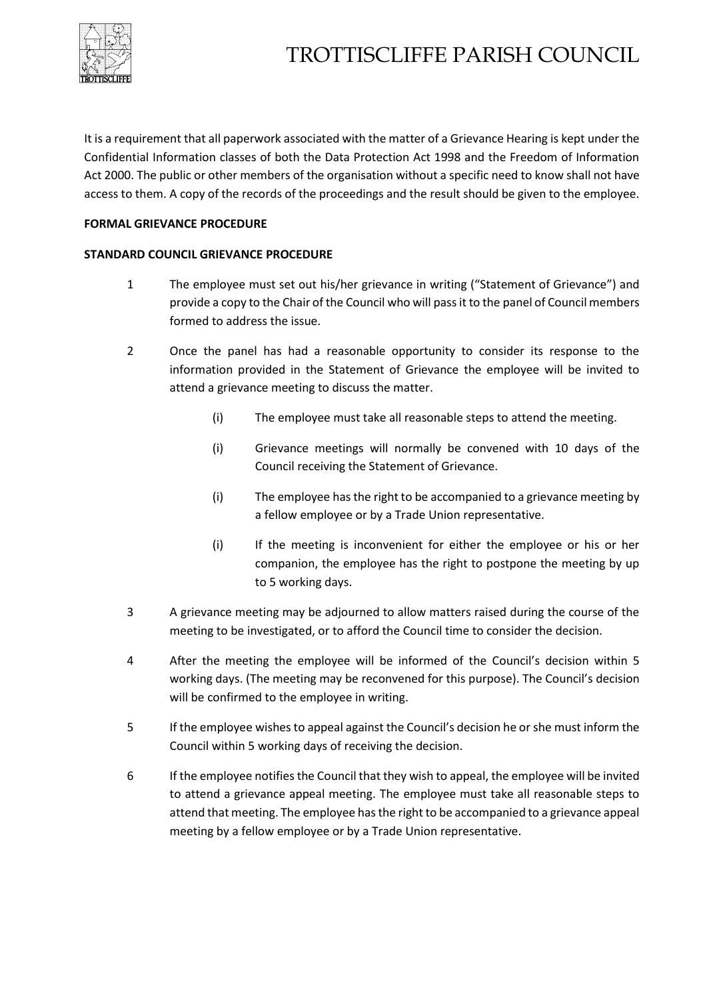

# TROTTISCLIFFE PARISH COUNCIL

It is a requirement that all paperwork associated with the matter of a Grievance Hearing is kept under the Confidential Information classes of both the Data Protection Act 1998 and the Freedom of Information Act 2000. The public or other members of the organisation without a specific need to know shall not have access to them. A copy of the records of the proceedings and the result should be given to the employee.

# **FORMAL GRIEVANCE PROCEDURE**

# **STANDARD COUNCIL GRIEVANCE PROCEDURE**

- 1 The employee must set out his/her grievance in writing ("Statement of Grievance") and provide a copy to the Chair of the Council who will pass it to the panel of Council members formed to address the issue.
- 2 Once the panel has had a reasonable opportunity to consider its response to the information provided in the Statement of Grievance the employee will be invited to attend a grievance meeting to discuss the matter.
	- (i) The employee must take all reasonable steps to attend the meeting.
	- (i) Grievance meetings will normally be convened with 10 days of the Council receiving the Statement of Grievance.
	- (i) The employee has the right to be accompanied to a grievance meeting by a fellow employee or by a Trade Union representative.
	- (i) If the meeting is inconvenient for either the employee or his or her companion, the employee has the right to postpone the meeting by up to 5 working days.
- 3 A grievance meeting may be adjourned to allow matters raised during the course of the meeting to be investigated, or to afford the Council time to consider the decision.
- 4 After the meeting the employee will be informed of the Council's decision within 5 working days. (The meeting may be reconvened for this purpose). The Council's decision will be confirmed to the employee in writing.
- 5 If the employee wishes to appeal against the Council's decision he or she must inform the Council within 5 working days of receiving the decision.
- 6 If the employee notifies the Council that they wish to appeal, the employee will be invited to attend a grievance appeal meeting. The employee must take all reasonable steps to attend that meeting. The employee has the right to be accompanied to a grievance appeal meeting by a fellow employee or by a Trade Union representative.